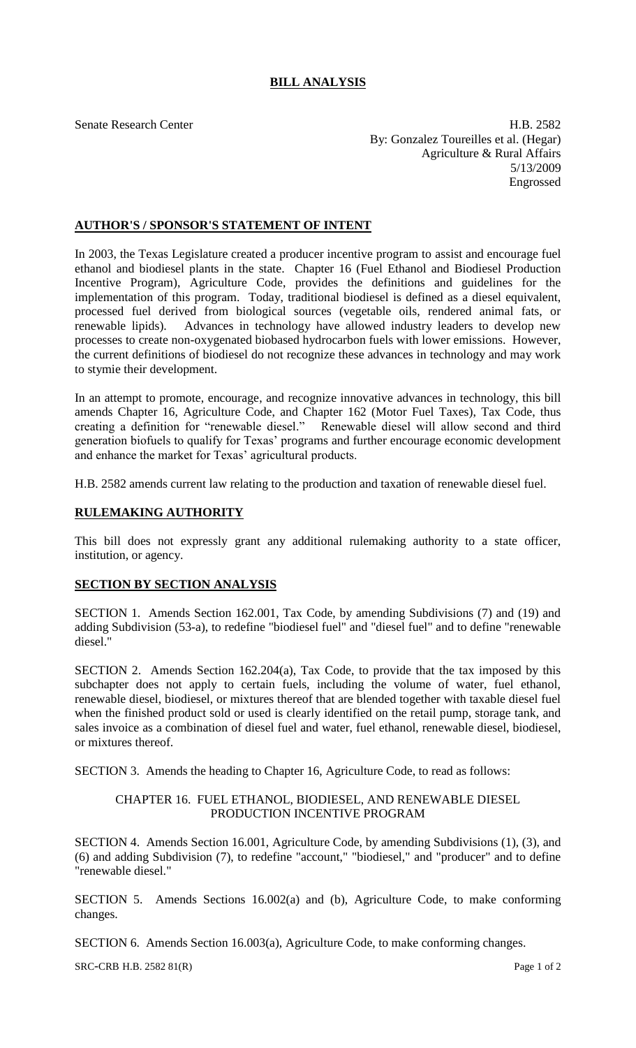# **BILL ANALYSIS**

Senate Research Center **H.B. 2582**  By: Gonzalez Toureilles et al. (Hegar) Agriculture & Rural Affairs 5/13/2009 Engrossed

## **AUTHOR'S / SPONSOR'S STATEMENT OF INTENT**

In 2003, the Texas Legislature created a producer incentive program to assist and encourage fuel ethanol and biodiesel plants in the state. Chapter 16 (Fuel Ethanol and Biodiesel Production Incentive Program), Agriculture Code, provides the definitions and guidelines for the implementation of this program. Today, traditional biodiesel is defined as a diesel equivalent, processed fuel derived from biological sources (vegetable oils, rendered animal fats, or renewable lipids). Advances in technology have allowed industry leaders to develop new processes to create non-oxygenated biobased hydrocarbon fuels with lower emissions. However, the current definitions of biodiesel do not recognize these advances in technology and may work to stymie their development.

In an attempt to promote, encourage, and recognize innovative advances in technology, this bill amends Chapter 16, Agriculture Code, and Chapter 162 (Motor Fuel Taxes), Tax Code, thus creating a definition for "renewable diesel." Renewable diesel will allow second and third generation biofuels to qualify for Texas' programs and further encourage economic development and enhance the market for Texas' agricultural products.

H.B. 2582 amends current law relating to the production and taxation of renewable diesel fuel.

## **RULEMAKING AUTHORITY**

This bill does not expressly grant any additional rulemaking authority to a state officer, institution, or agency.

## **SECTION BY SECTION ANALYSIS**

SECTION 1. Amends Section 162.001, Tax Code, by amending Subdivisions (7) and (19) and adding Subdivision (53-a), to redefine "biodiesel fuel" and "diesel fuel" and to define "renewable diesel."

SECTION 2. Amends Section 162.204(a), Tax Code, to provide that the tax imposed by this subchapter does not apply to certain fuels, including the volume of water, fuel ethanol, renewable diesel, biodiesel, or mixtures thereof that are blended together with taxable diesel fuel when the finished product sold or used is clearly identified on the retail pump, storage tank, and sales invoice as a combination of diesel fuel and water, fuel ethanol, renewable diesel, biodiesel, or mixtures thereof.

SECTION 3. Amends the heading to Chapter 16, Agriculture Code, to read as follows:

## CHAPTER 16. FUEL ETHANOL, BIODIESEL, AND RENEWABLE DIESEL PRODUCTION INCENTIVE PROGRAM

SECTION 4. Amends Section 16.001, Agriculture Code, by amending Subdivisions (1), (3), and (6) and adding Subdivision (7), to redefine "account," "biodiesel," and "producer" and to define "renewable diesel."

SECTION 5. Amends Sections 16.002(a) and (b), Agriculture Code, to make conforming changes.

SECTION 6. Amends Section 16.003(a), Agriculture Code, to make conforming changes.

SRC-CRB H.B. 2582 81(R) Page 1 of 2